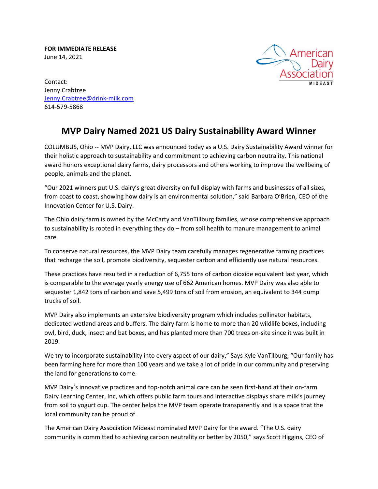**FOR IMMEDIATE RELEASE**  June 14, 2021



Contact: Jenny Crabtree [Jenny.Crabtree@drink-milk.com](mailto:Jenny.Crabtree@drink-milk.com) 614-579-5868

## **MVP Dairy Named 2021 US Dairy Sustainability Award Winner**

COLUMBUS, Ohio -- MVP Dairy, LLC was announced today as a U.S. Dairy Sustainability Award winner for their holistic approach to sustainability and commitment to achieving carbon neutrality. This national award honors exceptional dairy farms, dairy processors and others working to improve the wellbeing of people, animals and the planet.

"Our 2021 winners put U.S. dairy's great diversity on full display with farms and businesses of all sizes, from coast to coast, showing how dairy is an environmental solution," said Barbara O'Brien, CEO of the Innovation Center for U.S. Dairy.

The Ohio dairy farm is owned by the McCarty and VanTillburg families, whose comprehensive approach to sustainability is rooted in everything they do – from soil health to manure management to animal care.

To conserve natural resources, the MVP Dairy team carefully manages regenerative farming practices that recharge the soil, promote biodiversity, sequester carbon and efficiently use natural resources.

These practices have resulted in a reduction of 6,755 tons of carbon dioxide equivalent last year, which is comparable to the average yearly energy use of 662 American homes. MVP Dairy was also able to sequester 1,842 tons of carbon and save 5,499 tons of soil from erosion, an equivalent to 344 dump trucks of soil.

MVP Dairy also implements an extensive biodiversity program which includes pollinator habitats, dedicated wetland areas and buffers. The dairy farm is home to more than 20 wildlife boxes, including owl, bird, duck, insect and bat boxes, and has planted more than 700 trees on-site since it was built in 2019.

We try to incorporate sustainability into every aspect of our dairy," Says Kyle VanTilburg, "Our family has been farming here for more than 100 years and we take a lot of pride in our community and preserving the land for generations to come.

MVP Dairy's innovative practices and top-notch animal care can be seen first-hand at their on-farm Dairy Learning Center, Inc, which offers public farm tours and interactive displays share milk's journey from soil to yogurt cup. The center helps the MVP team operate transparently and is a space that the local community can be proud of.

The American Dairy Association Mideast nominated MVP Dairy for the award. "The U.S. dairy community is committed to achieving carbon neutrality or better by 2050," says Scott Higgins, CEO of